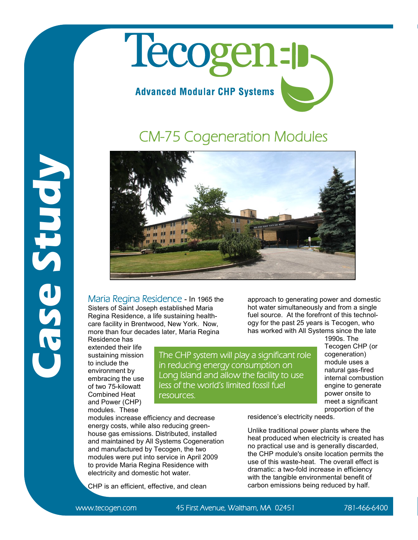## Tecogen-p **Advanced Modular CHP Systems**

## CM-75 Cogeneration Modules



Maria Regina Residence - In 1965 the Sisters of Saint Joseph established Maria Regina Residence, a life sustaining healthcare facility in Brentwood, New York. Now, more than four decades later, Maria Regina

house gas emissions. Distributed, installed and maintained by All Systems Cogeneration and manufactured by Tecogen, the two modules were put into service in April 2009 to provide Maria Regina Residence with electricity and domestic hot water.

CHP is an efficient, effective, and clean

Residence has extended their life sustaining mission to include the environment by embracing the use of two 75-kilowatt Combined Heat and Power (CHP) modules. These

**Case Study**

The CHP system will play a significant role in reducing energy consumption on Long Island and allow the facility to use less of the world's limited fossil fuel resources.

approach to generating power and domestic hot water simultaneously and from a single fuel source. At the forefront of this technology for the past 25 years is Tecogen, who has worked with All Systems since the late

1990s. The Tecogen CHP (or cogeneration) module uses a natural gas-fired internal combustion engine to generate power onsite to meet a significant proportion of the

modules increase efficiency and decrease energy costs, while also reducing greenresidence's electricity needs.

Unlike traditional power plants where the heat produced when electricity is created has no practical use and is generally discarded, the CHP module's onsite location permits the use of this waste-heat. The overall effect is dramatic: a two-fold increase in efficiency with the tangible environmental benefit of carbon emissions being reduced by half.

www.tecogen.com 45 First Avenue, Waltham, MA 02451 781-466-6400